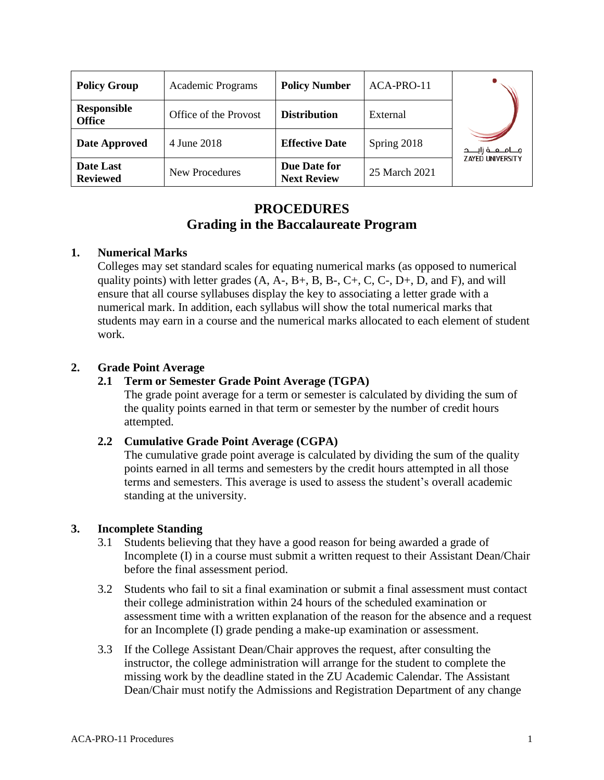| <b>Policy Group</b>                 | Academic Programs     | <b>Policy Number</b>               | ACA-PRO-11    |                         |
|-------------------------------------|-----------------------|------------------------------------|---------------|-------------------------|
| <b>Responsible</b><br><b>Office</b> | Office of the Provost | <b>Distribution</b>                | External      |                         |
| Date Approved                       | 4 June 2018           | <b>Effective Date</b>              | Spring 2018   | جـــامــعــة زايــــد   |
| Date Last<br><b>Reviewed</b>        | New Procedures        | Due Date for<br><b>Next Review</b> | 25 March 2021 | <b>ZAYED UNIVERSITY</b> |

# **PROCEDURES Grading in the Baccalaureate Program**

#### **1. Numerical Marks**

Colleges may set standard scales for equating numerical marks (as opposed to numerical quality points) with letter grades  $(A, A-, B+, B, B-, C+, C, C-, D+, D, and F)$ , and will ensure that all course syllabuses display the key to associating a letter grade with a numerical mark. In addition, each syllabus will show the total numerical marks that students may earn in a course and the numerical marks allocated to each element of student work.

#### **2. Grade Point Average**

#### **2.1 Term or Semester Grade Point Average (TGPA)**

The grade point average for a term or semester is calculated by dividing the sum of the quality points earned in that term or semester by the number of credit hours attempted.

## **2.2 Cumulative Grade Point Average (CGPA)**

The cumulative grade point average is calculated by dividing the sum of the quality points earned in all terms and semesters by the credit hours attempted in all those terms and semesters. This average is used to assess the student's overall academic standing at the university.

## **3. Incomplete Standing**

- 3.1 Students believing that they have a good reason for being awarded a grade of Incomplete (I) in a course must submit a written request to their Assistant Dean/Chair before the final assessment period.
- 3.2 Students who fail to sit a final examination or submit a final assessment must contact their college administration within 24 hours of the scheduled examination or assessment time with a written explanation of the reason for the absence and a request for an Incomplete (I) grade pending a make-up examination or assessment.
- 3.3 If the College Assistant Dean/Chair approves the request, after consulting the instructor, the college administration will arrange for the student to complete the missing work by the deadline stated in the ZU Academic Calendar. The Assistant Dean/Chair must notify the Admissions and Registration Department of any change